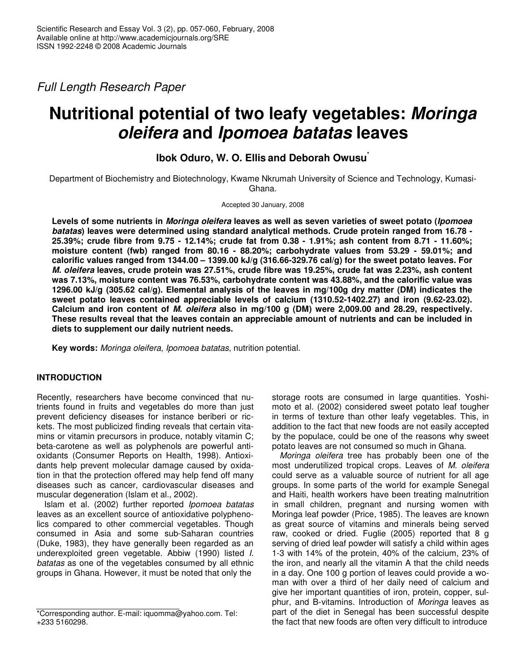*Full Length Research Paper*

# **Nutritional potential of two leafy vegetables:** *Moringa oleifera* **and** *Ipomoea batatas* **leaves**

**Ibok Oduro, W. O. Ellis and Deborah Owusu** \*

Department of Biochemistry and Biotechnology, Kwame Nkrumah University of Science and Technology, Kumasi-Ghana.

Accepted 30 January, 2008

Levels of some nutrients in *Moringa oleifera* leaves as well as seven varieties of sweet potato (*Ipomoea batatas***) leaves were determined using standard analytical methods. Crude protein ranged from 16.78 -** 25.39%; crude fibre from 9.75 - 12.14%; crude fat from 0.38 - 1.91%; ash content from 8.71 - 11.60%; **moisture content (fwb) ranged from 80.16 - 88.20%; carbohydrate values from 53.29 - 59.01%; and calorific values ranged from 1344.00 – 1399.00 kJ/g (316.66-329.76 cal/g) for the sweet potato leaves. For** *M. oleifera* **leaves, crude protein was 27.51%, crude fibre was 19.25%, crude fat was 2.23%, ash content was 7.13%, moisture content was 76.53%, carbohydrate content was 43.88%, and the calorific value was 1296.00 kJ/g (305.62 cal/g). Elemental analysis of the leaves in mg/100g dry matter (DM) indicates the sweet potato leaves contained appreciable levels of calcium (1310.52-1402.27) and iron (9.62-23.02). Calcium and iron content of** *M. oleifera* **also in mg/100 g (DM) were 2,009.00 and 28.29, respectively. These results reveal that the leaves contain an appreciable amount of nutrients and can be included in diets to supplement our daily nutrient needs.**

**Key words:** *Moringa oleifera*, *Ipomoea batatas*, nutrition potential.

## **INTRODUCTION**

Recently, researchers have become convinced that nutrients found in fruits and vegetables do more than just prevent deficiency diseases for instance beriberi or rickets. The most publicized finding reveals that certain vitamins or vitamin precursors in produce, notably vitamin C; beta-carotene as well as polyphenols are powerful antioxidants (Consumer Reports on Health, 1998). Antioxidants help prevent molecular damage caused by oxidation in that the protection offered may help fend off many diseases such as cancer, cardiovascular diseases and muscular degeneration (Islam et al., 2002).

Islam et al. (2002) further reported *Ipomoea batatas* leaves as an excellent source of antioxidative polyphenolics compared to other commercial vegetables. Though consumed in Asia and some sub-Saharan countries (Duke, 1983), they have generally been regarded as an underexploited green vegetable. Abbiw (1990) listed *I. batatas* as one of the vegetables consumed by all ethnic groups in Ghana. However, it must be noted that only the

storage roots are consumed in large quantities. Yoshimoto et al. (2002) considered sweet potato leaf tougher in terms of texture than other leafy vegetables. This, in addition to the fact that new foods are not easily accepted by the populace, could be one of the reasons why sweet potato leaves are not consumed so much in Ghana.

*Moringa oleifera* tree has probably been one of the most underutilized tropical crops. Leaves of *M. oleifera* could serve as a valuable source of nutrient for all age groups. In some parts of the world for example Senegal and Haiti, health workers have been treating malnutrition in small children, pregnant and nursing women with Moringa leaf powder (Price, 1985). The leaves are known as great source of vitamins and minerals being served raw, cooked or dried. Fuglie (2005) reported that 8 g serving of dried leaf powder will satisfy a child within ages 1-3 with 14% of the protein, 40% of the calcium, 23% of the iron, and nearly all the vitamin A that the child needs in a day. One 100 g portion of leaves could provide a woman with over a third of her daily need of calcium and give her important quantities of iron, protein, copper, sulphur, and B-vitamins. Introduction of *Moringa* leaves as part of the diet in Senegal has been successful despite the fact that new foods are often very difficult to introduce

<sup>\*</sup>Corresponding author. E-mail: iquomma@yahoo.com. Tel: +233 5160298.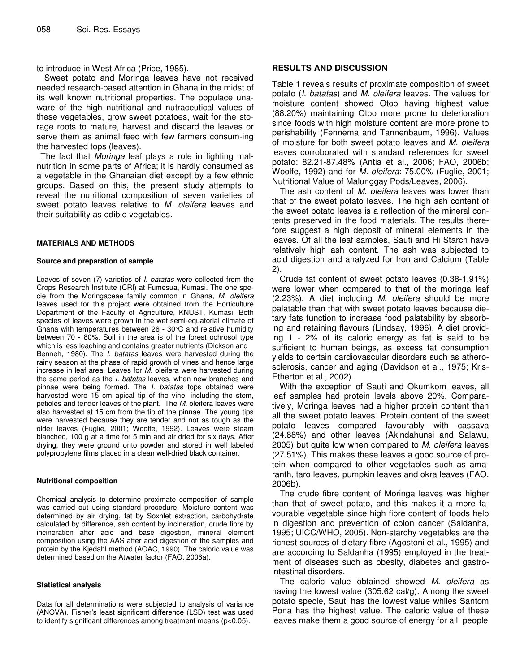to introduce in West Africa (Price, 1985).

Sweet potato and Moringa leaves have not received needed research-based attention in Ghana in the midst of its well known nutritional properties. The populace unaware of the high nutritional and nutraceutical values of these vegetables, grow sweet potatoes, wait for the storage roots to mature, harvest and discard the leaves or serve them as animal feed with few farmers consum-ing the harvested tops (leaves).

The fact that *Moringa* leaf plays a role in fighting malnutrition in some parts of Africa; it is hardly consumed as a vegetable in the Ghanaian diet except by a few ethnic groups. Based on this, the present study attempts to reveal the nutritional composition of seven varieties of sweet potato leaves relative to *M. oleifera* leaves and their suitability as edible vegetables.

#### **MATERIALS AND METHODS**

#### **Source and preparation of sample**

Leaves of seven (7) varieties of *I. batatas* were collected from the Crops Research Institute (CRI) at Fumesua, Kumasi. The one specie from the Moringaceae family common in Ghana, *M. oleifera* leaves used for this project were obtained from the Horticulture Department of the Faculty of Agriculture, KNUST, Kumasi. Both species of leaves were grown in the wet semi-equatorial climate of Ghana with temperatures between 26 - 30°C and relative humidity between 70 - 80%. Soil in the area is of the forest ochrosol type which is less leaching and contains greater nutrients (Dickson and Benneh, 1980). The *I. batatas* leaves were harvested during the rainy season at the phase of rapid growth of vines and hence large increase in leaf area. Leaves for *M.* oleifera were harvested during the same period as the *I. batatas* leaves, when new branches and pinnae were being formed. The *I. batatas* tops obtained were harvested were 15 cm apical tip of the vine, including the stem, petioles and tender leaves of the plant. The *M.* oleifera leaves were also harvested at 15 cm from the tip of the pinnae. The young tips were harvested because they are tender and not as tough as the older leaves (Fuglie, 2001; Woolfe, 1992). Leaves were steam blanched, 100 g at a time for 5 min and air dried for six days. After drying, they were ground onto powder and stored in well labeled polypropylene films placed in a clean well-dried black container.

#### **Nutritional composition**

Chemical analysis to determine proximate composition of sample was carried out using standard procedure. Moisture content was determined by air drying, fat by Soxhlet extraction, carbohydrate calculated by difference, ash content by incineration, crude fibre by incineration after acid and base digestion, mineral element composition using the AAS after acid digestion of the samples and protein by the Kjedahl method (AOAC, 1990). The caloric value was determined based on the Atwater factor (FAO, 2006a).

#### **Statistical analysis**

Data for all determinations were subjected to analysis of variance (ANOVA). Fisher's least significant difference (LSD) test was used to identify significant differences among treatment means (p<0.05).

### **RESULTS AND DISCUSSION**

Table 1 reveals results of proximate composition of sweet potato (*I. batatas*) and *M. oleifera* leaves. The values for moisture content showed Otoo having highest value (88.20%) maintaining Otoo more prone to deterioration since foods with high moisture content are more prone to perishability (Fennema and Tannenbaum, 1996). Values of moisture for both sweet potato leaves and *M. oleifera* leaves corroborated with standard references for sweet potato: 82.21-87.48% (Antia et al., 2006; FAO, 2006b; Woolfe, 1992) and for *M. oleifera*: 75.00% (Fuglie, 2001; Nutritional Value of Malunggay Pods/Leaves, 2006).

The ash content of *M. oleifera* leaves was lower than that of the sweet potato leaves. The high ash content of the sweet potato leaves is a reflection of the mineral contents preserved in the food materials. The results therefore suggest a high deposit of mineral elements in the leaves. Of all the leaf samples, Sauti and Hi Starch have relatively high ash content. The ash was subjected to acid digestion and analyzed for Iron and Calcium (Table 2).

Crude fat content of sweet potato leaves (0.38-1.91%) were lower when compared to that of the moringa leaf (2.23%). A diet including *M. oleifera* should be more palatable than that with sweet potato leaves because dietary fats function to increase food palatability by absorbing and retaining flavours (Lindsay, 1996). A diet providing 1 - 2% of its caloric energy as fat is said to be sufficient to human beings, as excess fat consumption yields to certain cardiovascular disorders such as atherosclerosis, cancer and aging (Davidson et al., 1975; Kris-Etherton et al., 2002).

With the exception of Sauti and Okumkom leaves, all leaf samples had protein levels above 20%. Comparatively, Moringa leaves had a higher protein content than all the sweet potato leaves. Protein content of the sweet potato leaves compared favourably with cassava (24.88%) and other leaves (Akindahunsi and Salawu, 2005) but quite low when compared to *M. oleifera* leaves (27.51%). This makes these leaves a good source of protein when compared to other vegetables such as amaranth, taro leaves, pumpkin leaves and okra leaves (FAO, 2006b).

The crude fibre content of Moringa leaves was higher than that of sweet potato, and this makes it a more favourable vegetable since high fibre content of foods help in digestion and prevention of colon cancer (Saldanha, 1995; UICC/WHO, 2005). Non-starchy vegetables are the richest sources of dietary fibre (Agostoni et al., 1995) and are according to Saldanha (1995) employed in the treatment of diseases such as obesity, diabetes and gastrointestinal disorders.

The caloric value obtained showed *M. oleifera* as having the lowest value (305.62 cal/g). Among the sweet potato specie, Sauti has the lowest value whiles Santom Pona has the highest value. The caloric value of these leaves make them a good source of energy for all people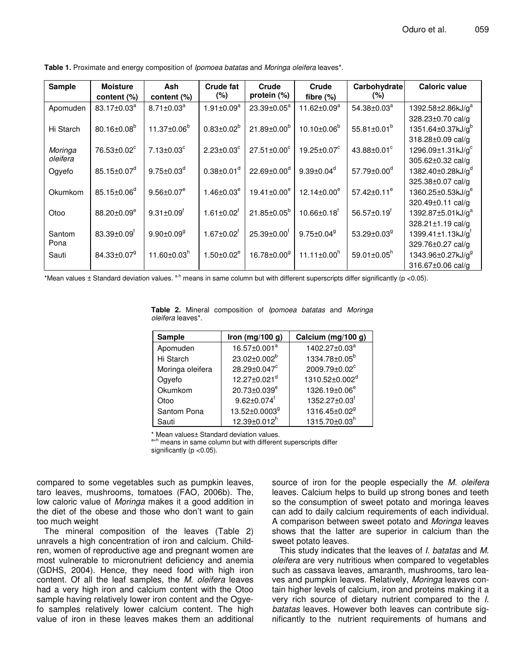| <b>Sample</b> | <b>Moisture</b>               | Ash                           | Crude fat                    | Crude                      | Crude                         | Carbohydrate                  | <b>Caloric value</b>                        |
|---------------|-------------------------------|-------------------------------|------------------------------|----------------------------|-------------------------------|-------------------------------|---------------------------------------------|
|               | content (%)                   | content (%)                   | (%)                          | protein (%)                | fibre $(\%)$                  | (%)                           |                                             |
| Apomuden      | 83.17±0.03 <sup>a</sup>       | $8.71 \pm 0.03$ <sup>a</sup>  | $1.91 \pm 0.09^a$            | 23.39±0.05 <sup>a</sup>    | 11.62 $\pm$ 0.09 $^{\rm a}$   | $54.38 \pm 0.03^a$            | 1392.58±2.86kJ/g <sup>a</sup>               |
|               |                               |                               |                              |                            |                               |                               | 328.23±0.70 cal/g                           |
| Hi Starch     | $80.16 \pm 0.08^b$            | 11.37±0.06 <sup>b</sup>       | $0.83 \pm 0.02^b$            | $21.89 \pm 0.00^b$         | $10.10 \pm 0.06^b$            | 55.81 $\pm$ 0.01 <sup>b</sup> | 1351.64 $\pm$ 0.37kJ/g <sup>b</sup>         |
|               |                               |                               |                              |                            |                               |                               | 318.28±0.09 cal/g                           |
| Moringa       | 76.53±0.02 <sup>c</sup>       | $7.13 \pm 0.03$ <sup>c</sup>  | $2.23 \pm 0.03^{\circ}$      | $27.51 \pm 0.00^{\circ}$   | 19.25±0.07°                   | 43.88±0.01 <sup>c</sup>       | 1296.09 $\pm$ 1.31kJ/g <sup>c</sup>         |
| oleifera      |                               |                               |                              |                            |                               |                               | 305.62±0.32 cal/g                           |
| Ogyefo        | 85.15 $\pm$ 0.07 <sup>d</sup> | $9.75 \pm 0.03^d$             | $0.38 \pm 0.01$ <sup>d</sup> | $22.69 \pm 0.00^{\circ}$   | $9.39 \pm 0.04^d$             | $57.79 \pm 0.00^{\circ}$      | 1382.40±0.28kJ/g <sup>a</sup>               |
|               |                               |                               |                              |                            |                               |                               | 325.38±0.07 cal/g                           |
| Okumkom       | $85.15 \pm 0.06^{\circ}$      | $9.56 \pm 0.07$ <sup>e</sup>  | $1.46 \pm 0.03^e$            | $19.41 \pm 0.00^e$         | $12.14 \pm 0.00^e$            | 57.42 $\pm$ 0.11 $^{\circ}$   | 1360.25 $\pm$ 0.53kJ/g <sup>e</sup>         |
|               |                               |                               |                              |                            |                               |                               | 320.49±0.11 cal/g                           |
| Otoo          | $88.20 \pm 0.09^e$            | $9.31 \pm 0.09$ <sup>f</sup>  | $1.61 \pm 0.02$ <sup>f</sup> | $21.85 \pm 0.05^b$         | $10.66 \pm 0.18$ <sup>f</sup> | 56.57 $\pm$ 0.19 <sup>f</sup> | 1392.87±5.01kJ/g <sup>a</sup>               |
|               |                               |                               |                              |                            |                               |                               | 328.21±1.19 cal/g                           |
| Santom        | $83.39 \pm 0.09$ <sup>f</sup> | $9.90 \pm 0.09$ <sup>g</sup>  | $1.67 \pm 0.02$ <sup>f</sup> | $25.39 \pm 0.00^{\dagger}$ | $9.75 \pm 0.04$ <sup>9</sup>  | 53.29 $\pm$ 0.03 $9$          | $1399.41 \pm 1.13 \text{kJ/g}$ <sup>T</sup> |
| Pona          |                               |                               |                              |                            |                               |                               | 329.76±0.27 cal/g                           |
| Sauti         | $84.33 \pm 0.07$ <sup>9</sup> | 11.60 $\pm$ 0.03 <sup>n</sup> | $1.50 \pm 0.02^e$            | 16.78±0.00 <sup>9</sup>    | $11.11 \pm 0.00^h$            | 59.01 $\pm$ 0.05 <sup>h</sup> | 1343.96±0.27kJ/g <sup>9</sup>               |
|               |                               |                               |                              |                            |                               |                               | 316.67±0.06 cal/g                           |

**Table 1.** Proximate and energy composition of *Ipomoea batatas* and *Moringa oleifera* leaves\*.

\*Mean values ± Standard deviation values. <sup>a-h</sup> means in same column but with different superscripts differ significantly (p <0.05).

| <i>oleifera</i> leaves*. |                                |                                 |  |  |  |  |  |  |
|--------------------------|--------------------------------|---------------------------------|--|--|--|--|--|--|
| <b>Sample</b>            | Iron (mg/100 g)                | Calcium (mg/100 g)              |  |  |  |  |  |  |
| Apomuden                 | 16.57±0.001 <sup>a</sup>       | 1402.27±0.03 <sup>a</sup>       |  |  |  |  |  |  |
| Hi Starch                | 23.02±0.002 <sup>b</sup>       | 1334.78±0.05 <sup>b</sup>       |  |  |  |  |  |  |
| Moringa oleifera         | $28.29 \pm 0.047$ <sup>c</sup> | $2009.79 \pm 0.02$ <sup>c</sup> |  |  |  |  |  |  |
| Ogyefo                   | 12.27±0.021 <sup>d</sup>       | 1310.52±0.002 <sup>d</sup>      |  |  |  |  |  |  |
| Okumkom                  | 20.73±0.039 <sup>e</sup>       | 1326.19±0.06 <sup>e</sup>       |  |  |  |  |  |  |
| Otoo                     | $9.62 \pm 0.074$ <sup>f</sup>  | 1352.27±0.03 <sup>f</sup>       |  |  |  |  |  |  |
| Santom Pona              | 13.52±0.0003 <sup>9</sup>      | 1316.45±0.02 <sup>9</sup>       |  |  |  |  |  |  |
| Sauti                    | $12.39\pm0.012^{h}$            | 1315.70±0.03h                   |  |  |  |  |  |  |

**Table 2.** Mineral composition of *Ipomoea batatas* and *Moringa*

Mean values± Standard deviation values.

a=h means in same column but with different superscripts differ significantly ( $p$  < 0.05).

compared to some vegetables such as pumpkin leaves, taro leaves, mushrooms, tomatoes (FAO, 2006b). The, low caloric value of *Moringa* makes it a good addition in the diet of the obese and those who don't want to gain too much weight

The mineral composition of the leaves (Table 2) unravels a high concentration of iron and calcium. Children, women of reproductive age and pregnant women are most vulnerable to micronutrient deficiency and anemia (GDHS, 2004). Hence, they need food with high iron content. Of all the leaf samples, the *M. oleifera* leaves had a very high iron and calcium content with the Otoo sample having relatively lower iron content and the Ogyefo samples relatively lower calcium content. The high value of iron in these leaves makes them an additional

source of iron for the people especially the *M. oleifera* leaves. Calcium helps to build up strong bones and teeth so the consumption of sweet potato and moringa leaves can add to daily calcium requirements of each individual. A comparison between sweet potato and *Moringa* leaves shows that the latter are superior in calcium than the sweet potato leaves.

This study indicates that the leaves of *I. batatas* and *M. oleifera* are very nutritious when compared to vegetables such as cassava leaves, amaranth, mushrooms, taro leaves and pumpkin leaves. Relatively, *Moringa* leaves contain higher levels of calcium, iron and proteins making it a very rich source of dietary nutrient compared to the *I. batatas* leaves. However both leaves can contribute significantly to the nutrient requirements of humans and